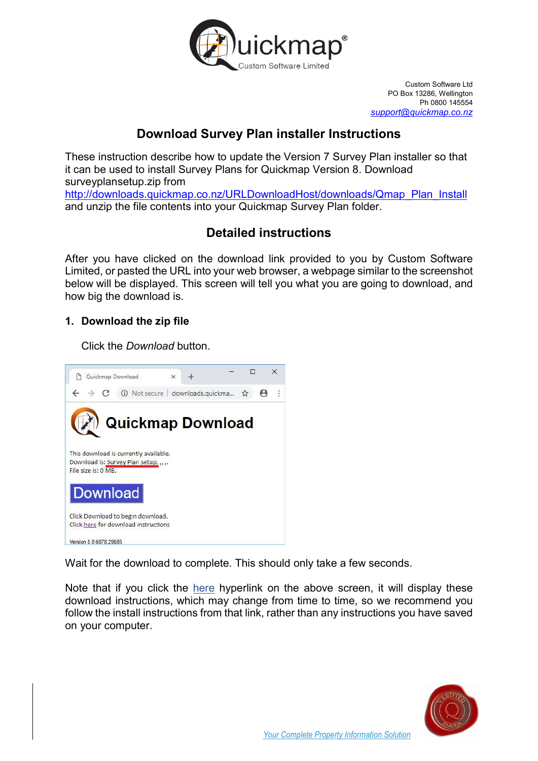

Custom Software Ltd PO Box 13286, Wellington Ph 0800 145554 support@quickmap.co.nz

# Download Survey Plan installer Instructions

These instruction describe how to update the Version 7 Survey Plan installer so that it can be used to install Survey Plans for Quickmap Version 8. Download surveyplansetup.zip from http://downloads.quickmap.co.nz/URLDownloadHost/downloads/Qmap\_Plan\_Install and unzip the file contents into your Quickmap Survey Plan folder.

## Detailed instructions

After you have clicked on the download link provided to you by Custom Software Limited, or pasted the URL into your web browser, a webpage similar to the screenshot below will be displayed. This screen will tell you what you are going to download, and how big the download is.

## 1. Download the zip file

Click the *Download* button.



Wait for the download to complete. This should only take a few seconds.

Note that if you click the here hyperlink on the above screen, it will display these download instructions, which may change from time to time, so we recommend you follow the install instructions from that link, rather than any instructions you have saved on your computer.

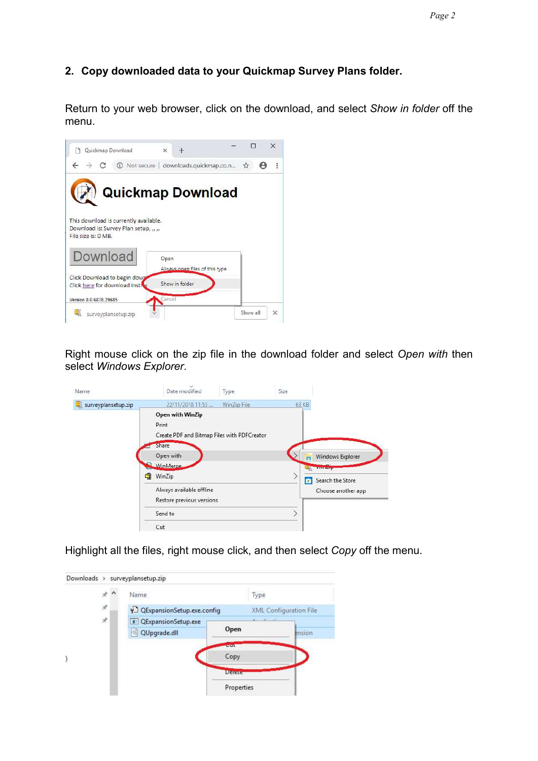### 2. Copy downloaded data to your Quickmap Survey Plans folder.

Return to your web browser, click on the download, and select Show in folder off the menu.



Right mouse click on the zip file in the download folder and select Open with then select Windows Explorer.

| Name                | Date modified                                                            | Type        | Size  |                                        |
|---------------------|--------------------------------------------------------------------------|-------------|-------|----------------------------------------|
| surveyplansetup.zip | 22/11/2018 11:53                                                         | WinZip File | 63 KB |                                        |
|                     | Open with WinZip<br>Print<br>Create PDF and Bitmap Files with PDFCreator |             |       |                                        |
|                     | Share<br>Open with<br>WinMerge                                           |             | m     | Windows Explorer<br>Witnessey          |
| q                   | WinZip<br>Always available offline                                       |             | â     | Search the Store<br>Choose another app |
|                     | Restore previous versions<br>Send to                                     |             |       |                                        |
|                     | Cut                                                                      |             |       |                                        |

Highlight all the files, right mouse click, and then select Copy off the menu.

|               | Name                         | Type                 |                               |
|---------------|------------------------------|----------------------|-------------------------------|
| $\mathcal{R}$ | QExpansionSetup.exe.config   |                      | <b>XML Configuration File</b> |
| À             | <b>B</b> QExpansionSetup.exe | <b>CARL TAR</b>      |                               |
|               | QUpgrade.dll                 | Open                 | ension                        |
|               |                              | <b>COLLE</b><br>Copy |                               |
|               |                              | <b>Delete</b>        |                               |
|               |                              | Properties           |                               |